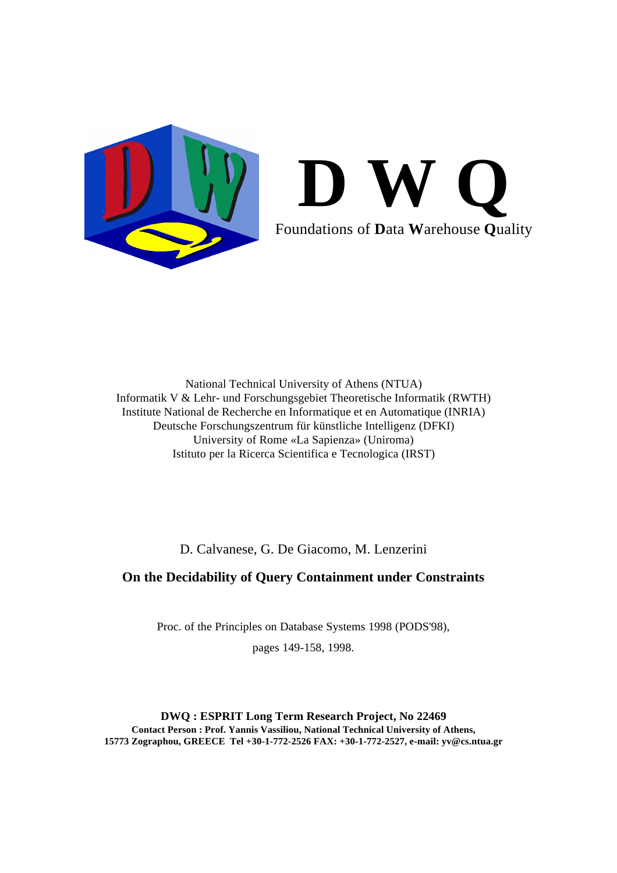

# **D W Q** Foundations of **D**ata **W**arehouse **Q**uality

National Technical University of Athens (NTUA) Informatik V & Lehr- und Forschungsgebiet Theoretische Informatik (RWTH) Institute National de Recherche en Informatique et en Automatique (INRIA) Deutsche Forschungszentrum für künstliche Intelligenz (DFKI) University of Rome «La Sapienza» (Uniroma) Istituto per la Ricerca Scientifica e Tecnologica (IRST)

D. Calvanese, G. De Giacomo, M. Lenzerini

# **On the Decidability of Query Containment under Constraints**

Proc. of the Principles on Database Systems 1998 (PODS'98),

pages 149-158, 1998.

**DWQ : ESPRIT Long Term Research Project, No 22469 Contact Person : Prof. Yannis Vassiliou, National Technical University of Athens, 15773 Zographou, GREECE Tel +30-1-772-2526 FAX: +30-1-772-2527, e-mail: yv@cs.ntua.gr**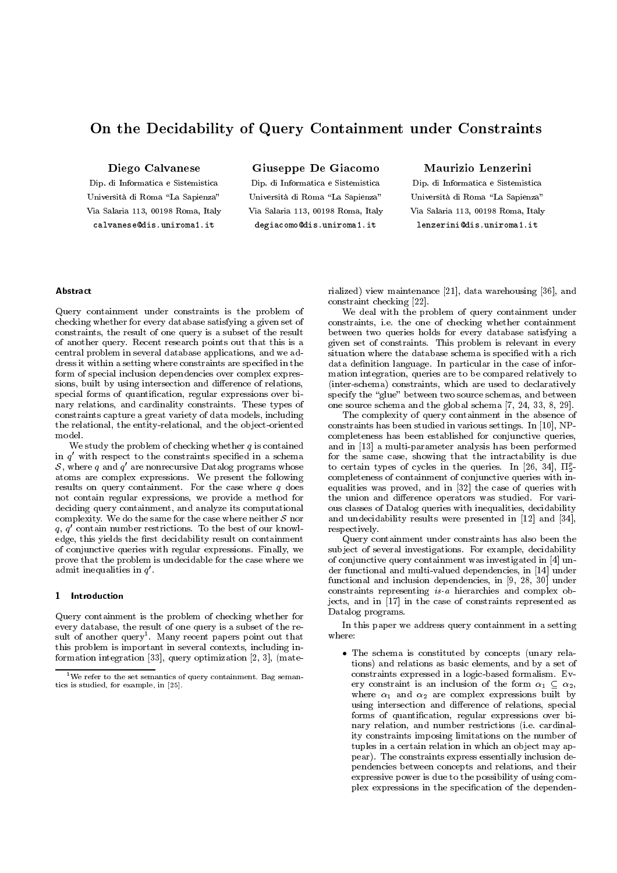## On the Decidability of Query Containment under Constraints

Diego Calvanese

Dip. di Informatica e Sistemistica Università di Roma "La Sapienza" Via Salaria 113, 00198 Roma, Italy calvanese@dis.uniroma1.it

Giuseppe De Giacomo

Dip. di Informatica e Sistemistica Università di Roma "La Sapienza" Via Salaria 113, 00198 Roma, Italy degiacomo@dis.uniroma1.it

## Maurizio Lenzerini

Dip. di Informatica e Sistemistica Università di Roma "La Sapienza" Via Salaria 113, 00198 Roma, Italy lenzerini@dis.uniroma1.it

Query containment under constraints is the problem of checking whether for every database satisfying a given set of constraints, the result of one query is a subset of the result of another query. Recent research points out that this is a central problem in several database applications, and we address it within a setting where constraints are specied in the form of special inclusion dependencies over complex expressions, built by using intersection and difference of relations, special forms of quantification, regular expressions over binary relations, and cardinality constraints. These types of constraints capture a great variety of data models, including the relational, the entity-relational, and the object-oriented model.

We study the problem of checking whether  $q$  is contained in  $q$  with respect to the constraints specified in a schema  $\qquad$  for  $\mathcal{S},$  where  $q$  and  $q$  are nonrecursive Datalog programs whose  $\qquad$  to atoms are complex expressions. We present the following results on query containment. For the case where  $q$  does not contain regular expressions, we provide a method for deciding query containment, and analyze its computational complexity. We do the same for the case where  $\alpha$  neither shows the same  $\alpha$ q, q <sup>0</sup> contain number restrictions. To the best of our knowledge, this yields the first decidability result on containment of conjunctive queries with regular expressions. Finally, we prove that the problem is undecidable for the case where we admit inequalities in  $q$  .  $\qquad \qquad$ 

## 1 Introduction

Query containment is the problem of checking whether for every database, the result of one query is a subset of the result of another query". Many recent papers point out that the  $\gamma$ this problem is important in several contexts, including information integration [33], query optimization [2, 3], (mate-

rialized) view maintenance [21], data warehousing [36], and constraint checking [22].

We deal with the problem of query containment under constraints, i.e. the one of checking whether containment between two queries holds for every database satisfying a given set of constraints. This problem is relevant in every situation where the database schema is specied with a rich data definition language. In particular in the case of information integration, queries are to be compared relatively to (inter-schema) constraints, which are used to declaratively specify the "glue" between two source schemas, and between one source schema and the global schema [7, 24, 33, 8, 29].

The complexity of query containment in the absence of constraints has been studied in various settings. In [10], NPcompleteness has been established for conjunctive queries, and in [13] a multi-parameter analysis has been performed for the same case, showing that the intractability is due to certain types of cycles in the queries. In [26, 34],  $\Pi_2^{\mathsf{c}}$  completeness of containment of conjunctive queries with inequalities was proved, and in [32] the case of queries with the union and difference operators was studied. For various classes of Datalog queries with inequalities, decidability and undecidability results were presented in [12] and [34], respectively.

Query containment under constraints has also been the subject of several investigations. For example, decidability of conjunctive query containment was investigated in [4] under functional and multi-valued dependencies, in [14] under functional and inclusion dependencies, in [9, 28, 30] under constraints representing is-a hierarchies and complex objects, and in [17] in the case of constraints represented as Datalog programs.

In this paper we address query containment in a setting where:

 The schema is constituted by concepts (unary relations) and relations as basic elements, and by a set of constraints expressed in a logic-based formalism. Every constraint is an inclusion of the form 1 2, where  $\alpha_1$  and  $\alpha_2$  are complex expressions built by using intersection and difference of relations, special forms of quantication, regular expressions over binary relation, and number restrictions (*i.e.* cardinalnary relation, and number relation, and number restrictions (i.e. cardinal-cardinal-cardinal-cardinal-cardinality constraints imposing limitations on the number of tuples in a certain relation in which an object may appear). The constraints express essentially inclusion dependencies between concepts and relations, and their expressive power is due to the possibility of using complex expressions in the specification of the dependen-

<sup>&</sup>lt;sup>1</sup>We refer to the set semantics of query containment. Bag semantics is studied, for example, in [25].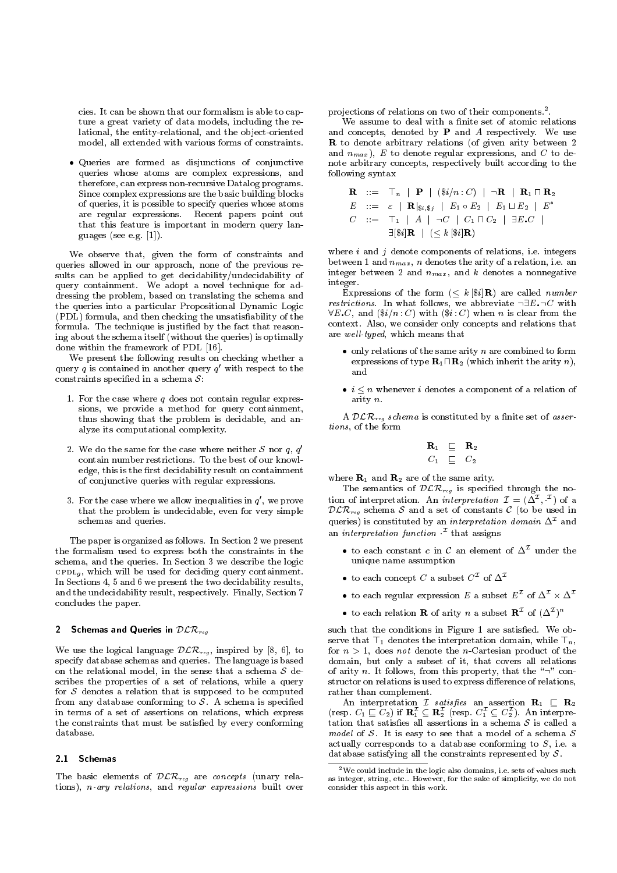cies. It can be shown that our formalism is able to capture a great variety of data models, including the relational, the entity-relational, and the object-oriented model, all extended with various forms of constraints.

 Queries are formed as disjunctions of conjunctive queries whose atoms are complex expressions, and therefore, can express non-recursive Datalog programs. Since complex expressions are the basic building blocks of queries, it is possible to specify queries whose atoms are regular expressions. Recent papers point out that this feature is important in modern query languages (see e.g. [1]).

We observe that, given the form of constraints and queries allowed in our approach, none of the previous re sults can be applied to get decidability/undecidability of query containment. We adopt a novel technique for addressing the problem, based on translating the schema and the queries into a particular Propositional Dynamic Logic (PDL) formula, and then checking the unsatisability of the formula. The technique is justied by the fact that reasoning about the schema itself (without the queries) is optimally done within the framework of PDL [16].

We present the following results on checking whether a query  $q$  is contained in another query  $q$  with respect to the constraints specific in a schema S:

- 1. For the case where  $q$  does not contain regular expressions, we provide a method for query containment, thus showing that the problem is decidable, and analyze its computational complexity.
- 2. We do the same for the case where neither S nor q, q'  $\frac{1}{2}$  contain number restrictions. To the best of our knowledge, this is the first decidability result on containment of conjunctive queries with regular expressions.
- 3. For the case where we allow inequalities in  $q$  , we prove  $\qquad \; \cup \;$ that the problem is undecidable, even for very simple schemas and queries.

The paper is organized as follows. In Section 2 we present the formalism used to express both the constraints in the schema, and the queries. In Section 3 we describe the logic community, which will be used for deciding query containment. In Sections 4, 5 and 6 we present the two decidability results, and the undecidability result, respectively. Finally, Section 7 concludes the paper.

## 2 Schemas and Queries in  $D \mathcal{L} \wedge \mathcal{R}$

We use the logical language  $D\mathcal{L}$   $\mathcal{L}$   $\mathcal{L}$   $\mathcal{L}$   $\mathcal{L}$   $\mathcal{L}$   $\mathcal{L}$   $\mathcal{L}$   $\mathcal{L}$   $\mathcal{L}$   $\mathcal{L}$   $\mathcal{L}$   $\mathcal{L}$   $\mathcal{L}$   $\mathcal{L}$   $\mathcal{L}$   $\mathcal{L}$   $\mathcal{L}$   $\mathcal{L}$   $\mathcal{L}$   $\mathcal{L}$   $\math$ specify database schemas and queries. The language is based on the relation the relation  $\mathcal{L}$  that a schema S definition sense that a schema S definition sense that a schema S definition sense that a schema S definition sense that a schema S definition sense that a schema S de scribes the properties of a set of relations, while a query for  $S$  denotes a relation that is supposed to be computed For  $\mathcal{S}$  denotes a relative term is supposed to be computed. in terms of a set of assertions on relations, which express the constraints that must be satisfied by every conforming

## 2.1 Schemas

The basic elements of  $D$ *LR*<sub>reg</sub> are concepts (unary relations), n-ary relations, and regular expressions built over

projections of relations on two of their components.<sup>2</sup>

We assume to deal with a finite set of atomic relations and concepts, denoted by  $P$  and  $A$  respectively. We use  $\mathbb{R}$  to denote arbitrary relations (of given arity between 2000) and  $n_{max}$ ), E to denote regular expressions, and C to denote arbitrary concepts, respectively built according to the following syntax

$$
\begin{array}{llll}\n\mathbf{R} &::= & \top_n & | & \mathbf{P} \mid (\$i/n:C) \mid \neg \mathbf{R} \mid \mathbf{R}_1 \sqcap \mathbf{R}_2 \\
E &::= & \varepsilon \mid \mathbf{R} |_{\$i,\$j} \mid E_1 \circ E_2 \mid E_1 \sqcup E_2 \mid E^* \\
C &::= & \top_1 \mid A \mid \neg C \mid C_1 \sqcap C_2 \mid \exists E.C \mid \\
&= & \exists [\$i]\mathbf{R} \mid (\leq k \, [\$i]\mathbf{R})\n\end{array}
$$

where  $i$  and  $j$  denote components of relations, i.e. integers between 1 and  $n_{max}$ , *n* denotes the arity of a relation, i.e. an integer between 2 and  $n_{max}$ , and k denotes a nonnegative integer.

Expressions of the form  $(\leq k \, [\$,i\mathbf{R})$  are called *number* restrictions. In what follows, we abbreviate :9E.:C with  $\forall E.C, \text{ and } (\frac{\$i}{n} : C) \text{ with } (\frac{\$i}{c} : C) \text{ when } n \text{ is clear from the }$ context. Also, we consider only concepts and relations that are well-typed, which means that

- $\bullet$  only relations of the same arity n are combined to form expressions of type  $\mathbb{P}^1$  urily normalized in the arity normal  $\mathbb{P}^1$ and
- $i \leq n$  whenever i denotes a component of a relation of arity n.

 $\mu$   $\mu$   $\mu$   $\sigma$  schema is constructed by a nime set of assertions, of the form

$$
\begin{array}{ccc}\n\mathbf{R}_1 & \sqsubseteq & \mathbf{R}_2 \\
C_1 & \sqsubseteq & C_2\n\end{array}
$$

where  $\mathbf{R}_1$  and  $\mathbf{R}_2$  are of the same arity.

The semantics of  $D\mathcal{L}/\mathcal{C}$  is specified through the notion of interpretation. An *interpretation*  $L = (\Delta^{-}, -)$  of a  $DLR_{reg}$  schema S and a set of constants C (to be used in queries) is constituted by an *interpretation domain*  $\Delta^{\mathcal{I}}$  and an interpretation function  $\cdot$  that assigns

- $\bullet$  to each constant c in C an element of  $\Delta^\mathcal{I}$  under the unique name assumption
- to each concept C a subset  $C^{\mathcal{I}}$  of  $\Delta^{\mathcal{I}}$
- to each regular expression E a subset  $E^-$  of  $\Delta^- \times \Delta^-$
- $\bullet$  to each relation  $\mathbf R$  of arity  $n$  a subset  $\mathbf R^+$  of  $(\Delta^+)^\sim$

such that the conditions in Figure 1 are satisfied. We observe that  $\top_1$  denotes the interpretation domain, while  $\top_n$ , for  $n > 1$ , does not denote the n-Cartesian product of the domain, but only a subset of it, that covers all relations of arity n. It follows, from this property, that the " $\neg$ " constructor on relations is used to express difference of relations, rather than complete than complete than complete the complete than complete than  $\mathbb{R}^n$ 

 $\mathbf{A}$  interpretation  $\mathbf{A}$  is satisfying and assertion  $\mathbf{A}$  is  $\mathbf{A}$  in  $\mathbf{A}$ (resp.  $C_1 \sqsubseteq C_2$ ) if  $\mathbf{R}_1 \sqsubseteq \mathbf{R}_2$  (resp.  $C_1 \sqsubseteq C_2$ ). An interpretation that satisfies all assertions in a schema  $\mathcal S$  is called a  $\Box$  and  $\Box$  is called a model of a schema  $S$  $\frac{1}{2}$  is the state of  $\frac{1}{2}$  is the schema S actually corresponds to a database conforming to  $S$ , i.e. a database satisfying all the constraints represented by  $\bullet$  .

<sup>2</sup>We could include in the logic also domains, i.e. sets of values suchas integer, string, etc.. However, for the sake of simplicity, we do notconsider this aspect in this work.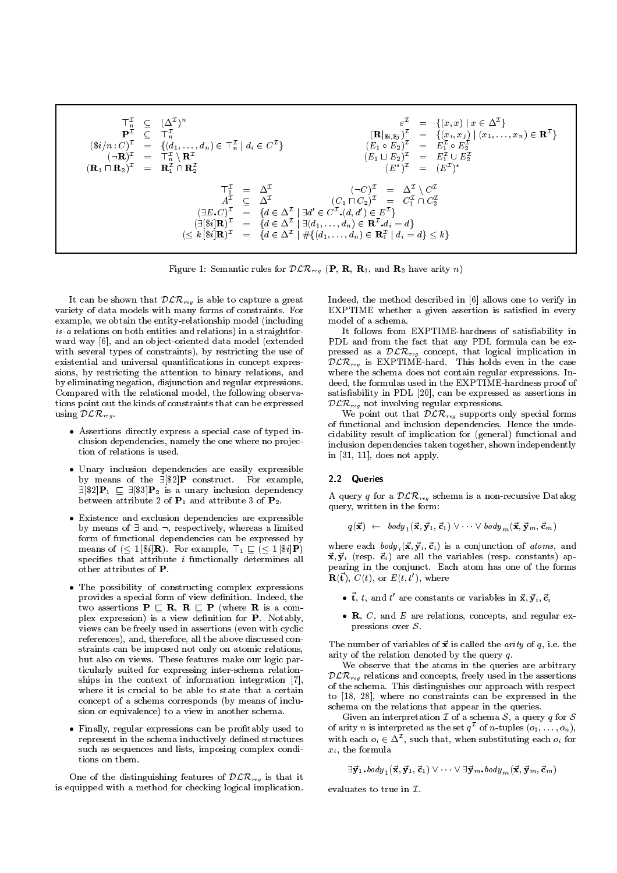>In (I )n P<sup>I</sup> >In (\$i=n : C)I <sup>=</sup> f(d1;:::;dn) 2 >In j di 2 <sup>C</sup><sup>I</sup> g (:R)I <sup>=</sup> >In n <sup>R</sup><sup>I</sup> (R1 u R2)I <sup>=</sup> RI \ <sup>R</sup><sup>I</sup> <sup>I</sup> <sup>=</sup> f(x; x) j <sup>x</sup> 2 <sup>I</sup> g (Rj\$i;\$j )I <sup>=</sup> f(xi ; xj ) j (x1;:::;xn) 2 <sup>R</sup><sup>I</sup> g (E1 E2)I <sup>=</sup> <sup>E</sup><sup>I</sup> <sup>E</sup><sup>I</sup> (E1 t E2)I <sup>=</sup> <sup>E</sup><sup>I</sup> [ <sup>E</sup><sup>I</sup> (E )I = (E<sup>I</sup> ) >I <sup>1</sup> <sup>=</sup> I (:C)I <sup>=</sup> I n <sup>C</sup><sup>I</sup> AI I (C1 u C2)I <sup>=</sup> <sup>C</sup><sup>I</sup> \ <sup>C</sup><sup>I</sup> (9E.C)I <sup>=</sup> fd 2 I j 9d <sup>0</sup> 2 <sup>C</sup><sup>I</sup> .(d; d0) 2 <sup>E</sup><sup>I</sup> g (9[\$i]R)I <sup>=</sup> fd 2 I j 9(d1;:::;dn) 2 RI .di <sup>=</sup> dg ( <sup>k</sup> [\$i]R)I <sup>=</sup> fd 2 I j #f(d1;:::;dn) 2 RI <sup>1</sup> j di <sup>=</sup> dg kg

 $F$  igure 1: Semantic rules for  $D$   $\mathcal{L}/\mathcal{C}$   $\mathcal{C}$   $q$  (1, R, R, R, and R $2$  have arity  $n$ )

It can be shown that  $D$ *LRreg* is able to capture a great  $\blacksquare$ variety of data models with many forms of constraints. For example, we obtain the entity-relationship model (including is-a relations on both entities and relations) in a straightfor ward way [6], and an object-oriented data model (extended with several types of constraints), by restricting the use of existential and universal quantifications in concept expressions, by restricting the attention to binary relations, and by eliminating negation, disjunction and regular expressions. Compared with the relational model, the following observa tions point out the kinds of constraints that can be expressed using  $D\sum_{reg}$ .

- Assertions directly express a special case of typed inclusion dependencies, namely the one where no projection of relations is used.
- Unary inclusion dependencies are easily expressible by means of the  $\exists [\$2]$ **P** construct. For example,  $\exists [\$2] \mathbf{P}_1 \sqsubseteq \exists [\$3] \mathbf{P}_2$  is a unary inclusion dependency between attribute 2 of  $P_1$  and attribute 3 of  $P_2$ .
- Existence and exclusion dependencies are expressible by means of  $\exists$  and  $\neg$ , respectively, whereas a limited  $\tilde{f}$  form of functional dependencies can be expressed by means of  $(\leq 1 [\$i] \mathbf{R})$ . For example,  $\top_1 \sqsubseteq (\leq 1 [\$i] \mathbf{P})$ specifies that attribute  $i$  functionally determines all other attributes of P.
- The possibility of constructing complex expressions provides a special form of view definition. Indeed, the  $t_{\text{m}}$  assertions  $\text{F} \equiv \text{F}$ ,  $\text{F} \equiv \text{F}$ ,  $\text{m}$  and  $\text{F} \equiv \text{F}$ plex expression) is a view definition for  $P$ . Notably, views can be freely used in assertions (even with cyclic references), and, therefore, all the above discussed constraints can be imposed not only on atomic relations, but also on views. These features make our logic particularly suited for expressing inter-schema relationships in the context of information integration [7], where it is crucial to be able to state that a certain concept of a schema corresponds (by means of inclusion or equivalence) to a view in another schema.
- Finally, regular expressions can be protably used to represent in the schema inductively defined structures such as sequences and lists, imposing complex conditions on them.

One of the distinguishing features of  $D$  $D_{reg}$  is that it is equipped with a method for checking logical implication.

Indeed, the method described in [6] allows one to verify in EXPTIME whether a given assertion is satisfied in every model of a schema.

It follows from EXPTIME-hardness of satisfiability in PDL and from the fact that any PDL formula can be expressed as a  $D \mathcal{L} \mathcal{N}$ reg concept, that logical implication in  $\mathcal{DLR}_{reg}$  is EXPTIME-hard. This holds even in the case where the schema does not contain regular expressions. Indeed, the formulas used in the EXPTIME-hardness proof of satisfiability in PDL [20], can be expressed as assertions in  $DLR_{\text{reg}}$  not involving regular expressions.

We point out that  $D$ *LR* $_{reg}$  supports only special forms of functional and inclusion dependencies. Hence the undecidability result of implication for (general) functional and inclusion dependencies taken together, shown independently in [31, 11], does not apply.

## 2.2 Queries

 $\Lambda$  query q for a  $D$  $\mathcal{L}/\mathcal{N}$   $reg$  schema is a non-recursive Datalog query, written in the form:

$$
q(\vec{\mathbf{x}}) \leftarrow \text{ body}_1(\vec{\mathbf{x}}, \vec{\mathbf{y}}_1, \vec{\mathbf{c}}_1) \vee \cdots \vee \text{ body}_m(\vec{\mathbf{x}}, \vec{\mathbf{y}}_m, \vec{\mathbf{c}}_m)
$$

where each  $body_i(\vec{x}, \vec{y}_i, \vec{c}_i)$  is a conjunction of atoms, and  $\vec{x}$   $\vec{v}_i$  (resp.  $\vec{c}_i$ ) are all the variables (resp. constants) and ~x; ~yi (resp. ~ci) are all the variables (resp. constants) appearing in the conjunct. Each atom has one of the forms  $\mathbf{R}(\vec{t}), C(t),$  or  $E(t,t'),$  where

- $\bullet$  t,  $t,$  and  $t$  are constants or variables in  ${\bf x}, {\bf y}_i, {\bf c}_i$
- $\bullet$  R, C, and E are relations, concepts, and regular expressions over  $S$ .

The number of variables of  $\vec{x}$  is called the *arity* of q, i.e. the arity of the relation denoted by the query q.

We observe that the atoms in the queries are arbitrary  $DLR_{reg}$  relations and concepts, freely used in the assertions of the schema. This distinguishes our approach with respect to [18, 28], where no constraints can be expressed in the schema on the relations that appear in the queries.

 $\Gamma$  interpretation I of a schema S, a schema S, a schema S, a schema S, a schema S, a schema S, a query q for S, a  $\pi$ of arity *n* is interpreted as the set  $q^{\mathcal{I}}$  of *n*-tuples  $(o_1,\ldots,o_n)$ , with each  $o_i \in \Delta$  , such that, when substituting each  $o_i$  for xi , the formula is the formula in the formula in the formula in the formula in the formula in the formula in the formula in the formula in the formula in the formula in the formula in the formula in the formula in the for

$$
\exists \vec{\mathbf{y}}_1.\text{body}_1(\vec{\mathbf{x}}, \vec{\mathbf{y}}_1, \vec{\mathbf{c}}_1) \lor \cdots \lor \exists \vec{\mathbf{y}}_m.\text{body}_m(\vec{\mathbf{x}}, \vec{\mathbf{y}}_m, \vec{\mathbf{c}}_m)
$$

ates to true in  $\mathcal{I}$ .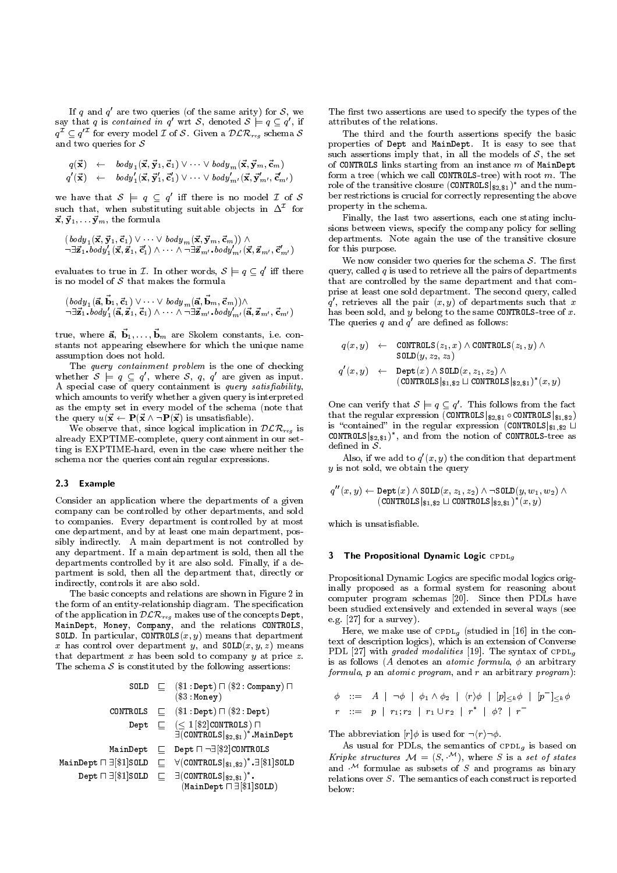If q and q are two queries (of the same arity) for  $\delta$ , we  $1$ say that q is contained in q wrt  $\mathcal{S},$  denoted  $\mathcal{S} \models q \subseteq q$  , if  $\overline{q}^{\mathcal{I}} \subseteq q^{\mathcal{I}}$  for every model  $\mathcal{I}$  of  $\mathcal{S}$ . Given a  $\mathcal{DLR}_{reg}$  schema  $\mathcal{S}$  or the proposed  $\mathcal{I}$  of  $\mathcal{S}$ . Given a  $\mathcal{DLR}_{reg}$  schema  $\mathcal{S}$  or the proposed of  $\mathcal{S}$ . and two queries for  $S$ 

$$
q(\vec{\mathbf{x}}) \leftarrow \text{body}_1(\vec{\mathbf{x}}, \vec{\mathbf{y}}_1, \vec{\mathbf{c}}_1) \vee \cdots \vee \text{body}_m(\vec{\mathbf{x}}, \vec{\mathbf{y}}_m, \vec{\mathbf{c}}_m) q'(\vec{\mathbf{x}}) \leftarrow \text{body}_1'(\vec{\mathbf{x}}, \vec{\mathbf{y}}_1', \vec{\mathbf{c}}_1') \vee \cdots \vee \text{body}_{m'}'(\vec{\mathbf{x}}, \vec{\mathbf{y}}_{m'}', \vec{\mathbf{c}}_{m'}')
$$

 $q(\mathbf{x}) \leftarrow \text{body}_1(\mathbf{x}, \mathbf{y}_1, \mathbf{c}_1) \vee \cdots \vee \text{body}_{m'}(\mathbf{x}, \mathbf{y}_{m'}, \mathbf{c}_{m'})$  role<br>we have that  $S \models q \subseteq q'$  iff there is no model  $\mathcal{I}$  of  $S$  ber is such that, when substituting suitable objects in  $\Delta^-$  for  $\hspace{0.2cm}$  $\vec{x}, \vec{y}_1,\ldots \vec{y}_m$ , the formula

$$
\begin{array}{l}(\,body\,_{1}(\vec{\mathbf{x}},\vec{\mathbf{y}}_{1},\vec{\mathbf{c}}_{1})\vee\cdots\vee\,body\,_{m}(\vec{\mathbf{x}},\vec{\mathbf{y}}_{m},\vec{\mathbf{c}}_{m}))\wedge\\ \neg\exists\vec{\mathbf{z}}_{1}.body'_{1}(\vec{\mathbf{x}},\vec{\mathbf{z}}_{1},\vec{\mathbf{c}}'_{1})\wedge\cdots\wedge\neg\exists\vec{\mathbf{z}}_{m'}.\,body'_{m'}(\vec{\mathbf{x}},\vec{\mathbf{z}}_{m'} ,\vec{\mathbf{c}}'_{m'})\end{array}
$$

 $-\exists \vec{z}_1.\textit{body}_1'(\vec{x}, \vec{z}_1, \vec{c}_1') \land \cdots \land \neg \exists \vec{z}_{m'}, \textit{body}'_{m'}(\vec{x}, \vec{z}_{m'}, \vec{c}'_{m'})$  for evaluates to true in  $\mathcal{I}$ . In other words,  $S \models q \subseteq q'$  iff there qualities to model of  $S$  that makes the formula It makes the formula<br> $\cdots \vee badu$  ( $\vec{a}$ ,  $\vec{b}$ <sub>m</sub>,  $\vec{c}$ <sub>m</sub>))  $\wedge$ 

$$
\begin{array}{l}(\text{body}_1(\vec{a}, \vec{b}_1, \vec{c}_1) \vee \cdots \vee \text{body}_m(\vec{a}, \vec{b}_m, \vec{c}_m)) \wedge \\ \neg \exists \vec{z}_1.\text{body}_1'(\vec{a}, \vec{z}_1, \vec{c}_1) \wedge \cdots \wedge \neg \exists \vec{z}_{m'}.\text{body}_{m'}'(\vec{a}, \vec{z}_{m'}, \vec{c}_{m'})\end{array}
$$

 $\exists \mathbf{z}_1.\textit{body}_1(\mathbf{a}, \mathbf{z}_1, \mathbf{c}_1) \wedge \cdots \wedge \neg \exists \mathbf{z}_{m'}.\textit{body}_{m'}(\mathbf{a}, \mathbf{z}_{m'}, \mathbf{c}_{m'})$ <br>true, where  $\vec{\mathbf{a}}, \ \vec{\mathbf{b}}_1, \ldots, \vec{\mathbf{b}}_m$  are Skolem constants, i.e. constants not appearing elsewhere for which the unique name assumption does not hold.

The query containment problem is the one of checking whether  $\delta \vDash q \subseteq q$  , where  $\delta, q, q$  are given as input. A special case of query containment is query satisfiability, which amounts to verify whether a given query is interpreted as the empty set in every model of the schema (note that

We observe that, since logical implication in  $\mathcal{D}\mathcal{L}$ <br>already EXPTIME, complete, query containment in time is EXPTIME bard avan in the case where neither We observe that, since logical implication in  $D\mathcal{L}N_{reg}$  is already EXPTIME-complete, query containment in our setting is EXPTIME-hard, even in the case where neither the schema nor the queries contain regular expressions.

## 2.3 Example

Consider an application where the departments of a given company can be controlled by other departments, and sold to companies. Every department is controlled by at most one department, and by at least one main department, possibly indirectly. A main department is not controlled by any department. If a main department is sold, then all the departments controlled by it are also sold. Finally, if a department is sold, then all the department that, directly or indirectly, controls it are also sold.

The basic concepts and relations are shown in Figure 2 in the form of an entity-relationship diagram. The specification of the application in  $D$   $\mathcal{L}_\text{reg}$  makes use of the concepts  $\mathcal{L}_\text{reg}$ , MainDept, Money, Company, and the relations CONTROLS, SOLD. In particular, CONTROLS $(x, y)$  means that department x has control over department y, and  $SOLD(x, y, z)$  means that department  $x$  has been sold to company  $y$  at price  $z$ . The schema S is constituted by the following assertions:  $\sigma$ 

|                          | SOLD $\Box$ (\$1:Dept) $\Box$ (\$2:Company) $\Box$                                                                              |            |
|--------------------------|---------------------------------------------------------------------------------------------------------------------------------|------------|
|                          | $(\$3:$ Money)                                                                                                                  | φ          |
| CONTROLS                 | $\Box$ (\$1:Dept) $\Box$ (\$2:Dept)                                                                                             | r          |
| Dept                     | $\Box$ $(\leq 1 \, [\$2]$ CONTROLS) $\Box$<br>$\exists$ (CONTROLS $ _{\$2.\$1})^*$ .MainDept                                    | Тh         |
| MainDept                 | $\Box$ Dept $\Box$ $\neg \exists$ [\$2] CONTROLS                                                                                |            |
| MainDept $\Box$ \$1 SOLD | $\Box$ $\forall$ (CONTROLS $ _{\$1.\$2})^*.\exists$ [\$1]SOLD                                                                   | Κr<br>an   |
|                          | Dept $\Box$ $\exists$ $\parallel$ \$1 SOLD $\Box$ $\exists$ (CONTROLS $ _{32.31}$ )*.<br>$(MainDepth \sqcap \exists [\$1]SOLD)$ | rel<br>bel |
|                          |                                                                                                                                 |            |

The first two assertions are used to specify the types of the attributes of the relations.

The third and the fourth assertions specify the basic properties of Dept and MainDept. It is easy to see that such assertions in all the models of  $\mathbb{F}_{q}$  the models of S, the set  $\mathbb{F}_{q}$  the set  $S$ of CONTROLS links starting from an instance  $m$  of MainDept form a tree (which we call CONTROLS-tree) with root  $m$ . The role of the transitive closure (CONTROLS $|_{32,31}$ )<sup>\*</sup> and the number restrictions is crucial for correctly representing the above property in the schema.

Finally, the last two assertions, each one stating inclusions between views, specify the company policy for selling departments. Note again the use of the transitive closure for this purpose.

We now consider two  $\mathbf{1}$  the schema S. The schema S. The schema S. The schema S. The schema S. The schema S. The schema S. The schema S. The schema S. The schema S. The schema S. The schema S. The schema S. The schema query, called  $q$  is used to retrieve all the pairs of departments that are controlled by the same department and that comprise at least one sold department. The second query, called q, retrieves all the pair  $(x, y)$  of departments such that  $x$ has been sold, and  $y$  belong to the same CONTROLS-tree of  $x$ . The queries  $q$  and  $q$  are defined as follows:

$$
\begin{array}{rcl} q(x,y) &\leftarrow & \texttt{CONTROLS}(z_1,x) \wedge \texttt{CONTROLS}(z_1,y) \wedge \\ & \texttt{SOLD}(y,z_2,z_3) \\ q'(x,y) &\leftarrow & \texttt{Depth}(x) \wedge \texttt{SOLD}(x,z_1,z_2) \wedge \\ & (\texttt{CONTROLS}|_{\$1,\$2} \sqcup \texttt{CONTROLS}|_{\$2,\$1})^*(x,y) \end{array}
$$

that the regular expression (CONTROLS $|s_{2,81} \circ \text{CONTROLS}|s_{1,82} \rangle$ <br>is "contained" in the regular expression (CONTROLS $|s_{1,82} \cup$ <br>CONTROLS $|s_{2,82} \rangle$ " and from the notion of CONTROLS-tree as . Inis follows from the fact that the regular expression (CONTROLS $|_{2,2,3,1}$   $\circ$  CONTROLS $|_{3,1,3,2}$ ) CONTROLS $|_{\$2,\$1}$ ), and from the notion of CONTROLS-tree as

Also, if we add to  $q(x, y)$  the condition that department  $y$  is not sold, we obtain the query

$$
q''(x,y) \leftarrow \text{Depth}(x) \land \text{SOLD}(x, z_1, z_2) \land \neg \text{SOLD}(y, w_1, w_2) \land \\ (\text{CONTROLS}|_{\$1, \$2} \sqcup \text{CONTROLS}|_{\$2, \$1})^*(x,y)
$$

which is unsatisfiable.

## 3 The Propositional Dynamic Logic CPDL<sub>g</sub>

Propositional Dynamic Logics are specic modal logics originally proposed as a formal system for reasoning about computer program schemas [20]. Since then PDLs have been studied extensively and extended in several ways (see e.g. [27] for a survey).

Here, we make use of  $\text{CPDL}_q$  (studied in [16] in the context of description logics), which is an extension of Converse PDL [27] with graded modalities [19]. The syntax of  $\text{CPDL}_q$ is as follows (A denotes an *atomic formula*,  $\phi$  an arbitrary formula, p an atomic program, and r an arbitrary program):

$$
\begin{array}{lll}\n\phi & ::= & A \mid \neg \phi \mid \phi_1 \wedge \phi_2 \mid \langle r \rangle \phi \mid [p] \leq_k \phi \mid [p^-] \leq_k \phi \\
r & ::= & p \mid r_1; r_2 \mid r_1 \cup r_2 \mid r^* \mid \phi? \mid r^-\n\end{array}
$$

The abbreviation [r] is used for :hri:.

As usual for PDLs, the semantics of  $\text{CPDL}_q$  is based on Kripke structures  $\mathcal{M} = (S, \mathcal{M})$ , where S is a set of states and  $\cdots$  formulae as subsets of S and programs as binary relations over S. The semantics of each construct is reported below: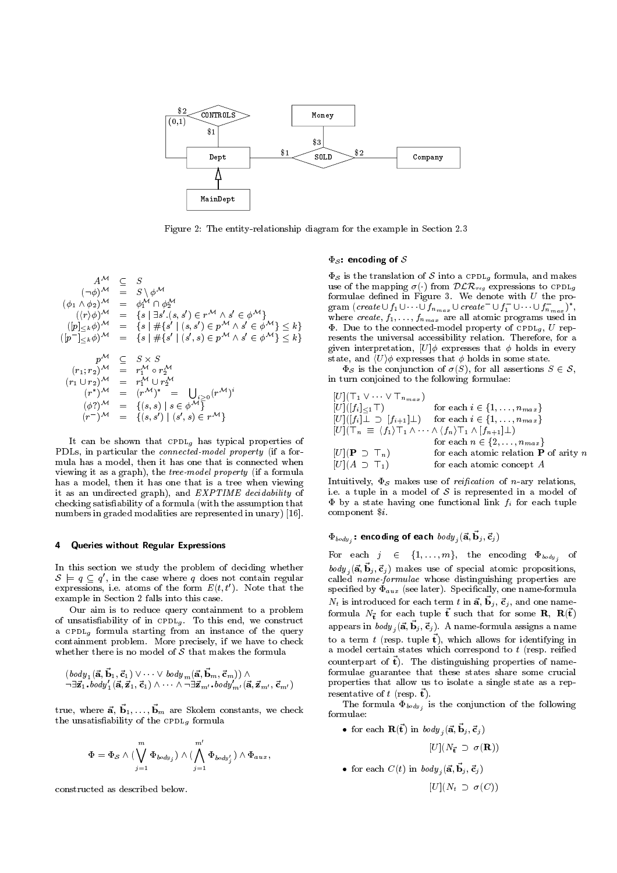

Figure 2: The entity-relationship diagram for the example in Section 2.3

$$
A^{\mathcal{M}} \subseteq S \qquad \Phi_{S}
$$
\n
$$
(\phi_{1} \wedge \phi_{2})^{\mathcal{M}} = S \wedge \phi^{\mathcal{M}} \qquad \text{use}
$$
\n
$$
(\langle r \rangle \phi)^{\mathcal{M}} = \{s \mid \exists s'.(s, s') \in r^{\mathcal{M}} \wedge s' \in \phi^{\mathcal{M}}\} \qquad \text{grad}
$$
\n
$$
([p]_{\leq k} \phi)^{\mathcal{M}} = \{s \mid \#\{s' \mid (s, s') \in p^{\mathcal{M}} \wedge s' \in \phi^{\mathcal{M}}\} \leq k\} \qquad \text{where}
$$
\n
$$
([p^{-}]_{\leq k} \phi)^{\mathcal{M}} = \{s \mid \#\{s' \mid (s', s) \in p^{\mathcal{M}} \wedge s' \in \phi^{\mathcal{M}}\} \leq k\} \qquad \text{see}
$$
\n
$$
p^{\mathcal{M}} \subseteq S \times S \qquad \text{that}
$$
\n
$$
(r_{1} \cup r_{2})^{\mathcal{M}} = r_{1}^{\mathcal{M}} \circ r_{2}^{\mathcal{M}} \qquad \text{in}
$$
\n
$$
(r^{*})^{\mathcal{M}} = r_{1}^{\mathcal{M}} \cup r_{2}^{\mathcal{M}} \qquad \text{in}
$$
\n
$$
(\phi^{2})^{\mathcal{M}} = \{(s, s) \mid s \in \phi^{\mathcal{M}}\} \qquad [U]
$$
\n
$$
(p^{-})^{\mathcal{M}} = \{(s, s') \mid (s', s) \in r^{\mathcal{M}}\} \qquad [U]
$$

It can be shown that cpdlg has typical properties of PDLs, in particular the connected-model property (if a for mula has a model, then it has one that is connected when viewing it as a graph), the tree-model property (if a formula has a model, then it has one that is a tree when viewing it as an undirected graph), and  $EXPTIME\, decidability$  of checking satisfiability of a formula (with the assumption that numbers in graded modalities are represented in unary) [16].

#### $\Delta$ Queries without Regular Expressions

In this section we study the problem of deciding whether  $\mathcal{S} \vDash q \subseteq q$  , in the case where q does not contain regular and  $q$ expressions, i.e. atoms of the form  $E(t, t')$ . Note that the example in Section 2 falls into this case.

Our aim is to reduce query containment to a problem  $\sim$  0.000  $\sim$  0.000  $\sim$   $\sim$  0.000  $\sim$   $\sim$   $\sim$  0.000  $\sim$  0.000  $\sim$  0.000  $\sim$  0.000  $\sim$  0.000  $\sim$  0.000  $\sim$  0.000  $\sim$  0.000  $\sim$  0.000  $\sim$  0.000  $\sim$  0.000  $\sim$  0.000  $\sim$  0.000  $\sim$  0.000  $\sim$  0.000  $\sim$  0.0 a community formula starting from an instance of the query starting from an instance of the query of the query containment problem. More precisely, if we have to check

$$
\begin{array}{l}(\text{body}_1(\vec{a}, \vec{b}_1, \vec{c}_1) \vee \cdots \vee \text{body}_m(\vec{a}, \vec{b}_m, \vec{c}_m)) \wedge \\ \neg \exists \vec{z}_1.\text{body}_1'(\vec{a}, \vec{z}_1, \vec{c}_1) \wedge \cdots \wedge \neg \exists \vec{z}_{m'}.\text{body}_{m'}'(\vec{a}, \vec{z}_{m'}, \vec{c}_{m'})\end{array}
$$

 $\begin{array}{lll} \neg \exists \mathbf{z}_1.\textit{coay}_1(\mathbf{a}, \mathbf{z}_1, \mathbf{c}_1) \wedge \cdots \wedge \neg \exists \mathbf{z}_{m'}. \textit{coay}_{m'}(\mathbf{a}, \mathbf{z}_{m'}, \mathbf{c}_{m'}) & \text{pres} \\ \text{true, where } \vec{\mathbf{a}}, \ \vec{\mathbf{b}}_1, \dots, \vec{\mathbf{b}}_m \text{ are Skolem constants, we check} & \text{for:} \end{array}$ the unsatisfiability of the  $\texttt{CPDL}_q$  formula

$$
\Phi = \Phi_{\mathcal{S}} \wedge (\bigvee_{j=1}^{m} \Phi_{\text{body}_j}) \wedge (\bigwedge_{j=1}^{m'} \Phi_{\text{body}'_j}) \wedge \Phi_{\text{aux}},
$$

constructed as described below.

## $\Phi_{\mathcal{S}}$ : encoding of  $\mathcal S$

S is the translation of S into a cpdlg formula, and makes use of the mapping  $\sigma(\cdot)$  from  $\mathcal{DLR}_{reg}$  expressions to CPDL<sub>g</sub> formulae dened in Figure 3.We denote with U the program (*create*  $\cup f_1 \cup \cdots \cup f_{n_{max}} \cup create \cup f_1 \cup \cdots \cup f_{n_{max}}$ ),<br>where *create*,  $f_1, \ldots, f_{n_{max}}$  are all atomic programs used in<br> $\Phi$ . Due to the connected-model property of CPDL<sub>g</sub>, U rep-<br>resents the universal accessibility where  $f$  is far atomic programs used in the atomic problem in the programs used in the  $f$ . Due to the connected-model property of connecting ,  $\mathcal{L} = \mathcal{L} = \mathcal{L} = \mathcal{L}$ resents the universal accessibility relation. Therefore, for a given interpretation,  $[U]\phi$  expresses that  $\phi$  holds in every state, and  $\langle U \rangle \phi$  expresses that  $\phi$  holds in some state.<br>  $\Phi_{\mathcal{S}}$  is the conjunction of  $\sigma(S)$ , for all assertions  $S \in \mathcal{S}$ ,

S is the conjoined to the following formulae:<br> $[(T_1 \vee \cdots \vee T_{n_{max}})]$ in turn conjoined to the following formulae:

$$
[U](\top_1 \vee \cdots \vee \top_{n_{max}})
$$
  
\n
$$
[U]([f_i] \leq 1\top)
$$
 for each  $i \in \{1, ..., n_{max}\}$   
\n
$$
[U]([f_i] \perp \supset [f_{i+1}] \perp)
$$
 for each  $i \in \{1, ..., n_{max}\}$   
\n
$$
[U](\top_n \equiv \langle f_1 \rangle \top_1 \wedge \cdots \wedge \langle f_n \rangle \top_1 \wedge [f_{n+1}] \perp)
$$
  
\nfor each  $n \in \{2, ..., n_{max}\}$   
\n
$$
[U](\mathbf{P} \supset \top_n)
$$
 for each atomic relation **P** of arity *n*  
\n
$$
[U](A \supset \top_1)
$$
 for each atomic concept *A*

Intuitively,  $\Phi_{\mathcal{S}}$  makes use of *reification* of *n*-ary relations, i.e. a tuple in a model of S is represented in a model of S is represented in a model of S is represented in a model of S is represented in a model of S is represented in a model of S is represented in a model of S is rep by a state having one functional link fi for each tuple component \$i.

## $\mathbf{v}_{\textit{body}_j}$ : encouing of each  $\textit{way}_j$  (a, bj, cj)

j

For each  $j \in \{1,\ldots,m\}$ , the encoding  $\Psi_{body}$  of  $\partial_{\alpha} u_{j}(\mathbf{a}, \mathbf{b}_{j}, \mathbf{c}_{j})$  makes use of special atomic propositions,  $\cdot$ called name-formulae whose distinguishing properties are specified by  $\Phi_{aux}$  (see later). Specifically, one name-formula  $\alpha$  is introduced for each term  $\iota$  in  $a, b_1, c_1$ , and one nameformula  $N_{\vec{\textbf{t}}}$  for each tuple  $\vec{\textbf{t}}$  such that for some  $\textbf{R}, ~\textbf{R}(\vec{\textbf{t}})$ appears in  $\mathit{bowy}_j(\mathbf{a}, \mathbf{b}_j, \mathbf{c}_j)$ . A name-formula assigns a name to a term t (resp. tuple  $\vec{t}$ ), which allows for identifying in a model certain states which correspond to  $t$  (resp. reified counterpart of  $\vec{t}$ ). The distinguishing properties of nameformulae guarantee that these states share some crucial properties that allow us to isolate a single state as a rep resentative of t (resp.  $\vec{t}$ ).

The formula  $\Psi_{body}$  is the conjunction of the following jformulae:

• for each  $\mathbf{R}(\vec{t})$  in  $body_j({\vec{a}}, {\vec{b}}_j, {\vec{c}}_j )$ 

 $\mathbf{U}^{\infty}$   $\mathbf{U}^{\infty}$  to  $\mathbf{E}$  (R)  $\mathbf{V}^{\infty}$  (R)) (R) (R)) (R)

• for each  $C(t)$  in body,  $({\vec a},{\vec b}_j,{\vec c}_j)$ 

 $\Box$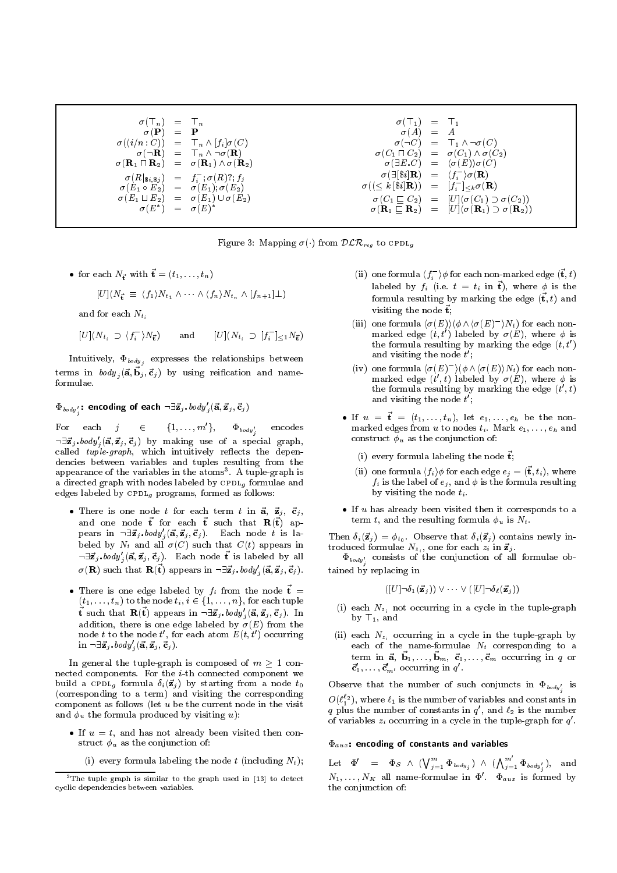$$
\begin{array}{rcl}\n\sigma(\top_n) & = & \top_n & \sigma(\top_1) & = & \top_1 \\
\sigma(\mathbf{P}) & = & \mathbf{P} & \sigma(A) & = & A \\
\sigma((i/n:C)) & = & \top_n \wedge [f_i]\sigma(C) & \sigma(\neg R) & = & \top_1 \wedge \neg \sigma(C) \\
\sigma(\neg R) & = & \top_n \wedge \neg \sigma(R) & \sigma(C_1 \sqcap C_2) & = & \sigma(C_1) \wedge \sigma(C_2) \\
\sigma(R_1 \sqcap R_2) & = & \sigma(R_1) \wedge \sigma(R_2) & \sigma(\exists E.C) & = & \sigma(C_1) \wedge \sigma(C_2) \\
\sigma(R|s_i,s_j) & = & f_i^{\neg} \sigma(R)\wedge \sigma(R_2) & \sigma(\exists E.C) & = & \langle f_i^{\neg} \rangle \sigma(R) \\
\sigma(E_1 \sqcup E_2) & = & \sigma(E_1); \sigma(E_2) & \sigma((\le k \,|\$i]R) & = & [f_i^{\neg}]\leq k\sigma(R) \\
\sigma(E_1 \sqcup E_2) & = & \sigma(E_1) \cup \sigma(E_2) & \sigma(C_1 \sqsubseteq C_2) & = & [U](\sigma(C_1) \supset \sigma(C_2)) \\
\sigma(E^*) & = & \sigma(E)^* & \sigma(R_1 \sqsubseteq R_2) & = & [U](\sigma(R_1) \supset \sigma(R_2))\n\end{array}
$$

Figure 3: Mapping  $\sigma(\cdot)$  from  $\mathcal{DLR}_{reg}$  to CPDL<sub>g</sub>

• for each  $N_{\vec{t}}$  with  $\vec{t} = (t_1,\ldots,t_n)$ 

$$
[U](N_{\vec{t}} \equiv \langle f_1 \rangle N_{t_1} \wedge \cdots \wedge \langle f_n \rangle N_{t_n} \wedge [f_{n+1}] \perp)
$$
  
If for each  $N_{t_i}$ 

and for each  $N_t$ .

 $[U](N_{t_i} \supset (f_i)N_{\vec{t}})$  a  $i/N_{\vec{t}}$  and  $[U](N_{t_i} \supset [f_i] \leq 1/N_{\vec{t}})$ 

Intuitively,  $\mathbf{\Psi}_{body\,j}$  expresses the relationships between  $t$  terms in  $\omega a y_j(a, b_j, c_j)$  by using reincation and nameformulae

## $\Phi_{\textit{body}'_j}$ : encoding of each  $\neg \exists \mathbf{z}_j.\textit{coay}_j(\mathbf{a},\mathbf{z}_j, \mathbf{c}_j )$

 ${\rm For\ \ \ \ }$  each  $j\quad \ \in\quad \ \ \{1,\ldots,m\ \},\quad \ \ \Phi_{\textit{body}'_j}\quad \ \, {\rm en}$  encodes  $\neg \exists \vec{z}_j \cdot \text{body}'_i({\bf \vec{a}}, {\bf \vec{z}}_j, {\bf \vec{c}}_j)$  by making use of a special graph, called  $tuple\ graph$ , which intuitively reflects the dependencies between variables and tuples resulting from the appearance of the variables in the atoms". A tuple-graph is a directed graph with nodes labeled by  $\text{CPDL}_q$  formulae and edges labeled by  $\texttt{CPDL}_q$  programs, formed as follows:

- There is one node t for each term t in  $\vec{a}$ ,  $\vec{z}_j$ ,  $\vec{c}_j$ , and one node  $\vec{t}$  for each  $\vec{t}$  such that  $\mathbf{R}(\vec{t})$  appears in  $\neg \exists \vec{z}_j \cdot body'_j (\vec{\mathbf{a}}, \vec{\mathbf{z}}_j, \vec{\mathbf{c}}_j)$ . Each node t is labeled by Nt and all (C) such that C(t) appears in  $\neg \exists \vec{z}_j, body'_j (\vec{\mathbf{a}}, \vec{z}_j, \vec{c}_j)$ . Each node  $\vec{\mathbf{t}}$  is labeled by all  $\sigma(\mathbf{R})$  such that  $\mathbf{R}(\vec{\mathbf{t}})$  appears in  $\neg \exists \vec{\mathbf{z}}_j \cdot \textit{body}'_j (\vec{\mathbf{a}}, \vec{\mathbf{z}}_j, \vec{\mathbf{c}}_j ).$
- There is one edge labeled by  $f_i$  from the node  $\vec{t} = (t_1, \ldots, t_n)$  to the node  $t_i$ ,  $i \in \{1, \ldots, n\}$ , for each tuple (the node time time is  $\mathbf{R}(\mathbf{t})$ ) appears in  $\neg \exists \vec{\mathbf{z}}_j, \text{body}_j'(\vec{\mathbf{a}}, \vec{\mathbf{z}}_j, \vec{\mathbf{c}}_j)$ . In addition, there is one edge labeled by  $\sigma(E)$  from the **t** such that  $\mathbf{R}(\mathbf{t})$  appears in  $\neg \exists \mathbf{z}_j \cdot \textit{loady}_j (\mathbf{a}, \mathbf{z}_j, \mathbf{c}_j)$ . In addition, there is one edge labeled by  $\sigma(E)$  from the node t to the node t, for each atom  $E(t, t|)$  occurring  $\qquad$  ( in  $\neg \exists \vec{z}_j \cdot body'_i({\vec{\mathbf{a}}}, {\vec{\mathbf{z}}}_j, {\vec{\mathbf{c}}}_j).$

In general the tuple-graph is composed of  $m \geq 1$  connected components. For the  $i$ -th connected component we build a criting formula  $\mathcal{O}_i$  ,  $\mathcal{O}_j$  , starting from a node  $\mathcal{O}_j$ (corresponding to a term) and visiting the corresponding component as follows (let  $u$  be the current node in the visit and put the formula produced by visiting u):

- If  $u = t$ , and has not already been visited then constructure under the conjunction of the conjunction of  $\mathcal{L}_\mathbf{z}$ 
	- (i) every formula labeling the node t (including  $N_t$ );
- (ii) one formula  $\langle f_i \rangle \varphi$  for each non-marked edge  $({\bf t}, t)$ labeled by  $f_i$  (i.e.  $t = t_i$  in  $t$ ), where  $\varphi$  is the formula resulting by marking the edge  $(\vec{t}, t)$  and visiting the node  $\vec{t}$ ;
- (iii) one formula  $(\sigma(E))(\phi \wedge (\sigma(E)) \wedge k)$  for ea<br>marked edge  $(t, t')$  labeled by  $\sigma(E)$ , which the formula resulting by marking the edg<br>and visiting the node  $t'$ . (iii) one formula  $\langle \sigma(E) \rangle (\phi \wedge \langle \sigma(E)^{-} \rangle N_t)$  for each nonmarked edge (t, t) labeled by  $\sigma(E)$ , where  $\varphi$  is the formula resulting by marking the edge  $(t, t')$ and visiting the node  $t$  ; **The contract of the contract of the contract of the contract of the contract of the contract of the contract of the contract of the contract of the contract of the contract of the contract of the contract of the contract**
- (iv) one formula  $\langle \sigma(E)^{-} \rangle (\phi \wedge \langle \sigma(E) \rangle N_t)$  for each non-(*i* h(e)int) for  $\sigma(E)$ , where  $\phi$  is<br>g by marking the edge  $(t', t)$ marked edge  $(t_1, t)$  labeled by  $\sigma(E)$ , where  $\varphi$  is the formula resulting by marking the edge  $(t, t)$ and visiting the node  $t$  ;
- If  $u = \mathbf{t} = (t_1,\ldots,t_n)$ , let  $e_1,\ldots,e_h$  be the nonmarked edges from <sup>u</sup> to nodes ti . Mark e1;:::;eh and construct up as the conjunction of:
	- (i) every formula labeling the node  $\vec{t}$ ;
	- (ii) one formula  $\binom{n}{i}$  for each edge  $e_j = (0, e_i)$ , where for the label of the label of eigenvalues of  $\mathcal{N}$  , and is the formula resulting  $\mathcal{N}$  , and is the formula resulting  $\mathcal{N}$ by visiting the node  $t_i$ .
- $\bullet$  If  $u$  has already been visited then it corresponds to a term t, and the resulting formula  $\phi_u$  is  $N_t$ .

 $T$  is then  $\mathcal{O}_k$  ( $\mathcal{O}_j$ )  $\mathcal{O}_k$  )  $\mathcal{O}_k$  . Observe that is  $\mathcal{O}_k$  ( $\mathcal{O}_j$ ) introduced formulation  $\{z_i\}$  , one for form  $\alpha_i$  and  $\alpha_j$  .

 $\mathbf{v}_{\textit{body}'_j}$  consists of the conjunction of all formulae obtained by replacing in

$$
([U] \neg \delta_1(\vec{z}_j)) \vee \cdots \vee ([U] \neg \delta_{\ell}(\vec{z}_j))
$$

- $\left(\begin{matrix}1 & 0 \\ 0 & 1\end{matrix}\right)$  and  $\left(\begin{matrix}1 & 0 \\ 0 & 1\end{matrix}\right)$  and  $\left(\begin{matrix}0 & 0 \\ 0 & 1\end{matrix}\right)$  and (i) each  $\mathbb{R}^n$  not occurring in a cycle in the tuple-graph. by >1, and
- (ii) each  $\alpha_1$  occurring in a cycle in the tuple-graph by each of the name-formulae Nt corresponding to a name-formulae Nt corresponding to a name-formulae Nt corresponding to a name-formulae Nt corresponding to a name-formulae Nt corresponding to a name-formulae Nt corresponding term in  $\vec{a}, \vec{b}_1,\ldots,\vec{b}_m, \vec{c}_1,\ldots,\vec{c}_m$  occurring in q or  ${\bf c}_1,\ldots,{\bf c}_{m'}$  occurring in q.

Observe that the number of such conjuncts in  $\mathcal{L}_{body'_{i}}$  is  $O(\ell_1^{*2})$ , where  $\ell_1$  is the number of variables and constants in q plus the number of constants in  $q$  , and  $\ell_2$  is the number of variables  $z_i$  occurring in a cycle in the tuple-graph for  $q$  .

## $\Phi_{aux}$ : encoding of constants and variables

 $\mathrm{Let}\quad \Phi'\quad =\quad \Phi_\mathcal{S}\ \wedge\ (\bigvee_{j=1}^m \Phi_{\mathit{body}_j})\ \wedge\ (\bigwedge_{j=1}^m \Phi_{\mathit{body}'_j}),\quad \text{and}$  $N_1,\ldots,N_K$  all name-formulae in  $\Psi$  .  $\Psi_{aux}$  is formed by the conjunction of:

<sup>&</sup>lt;sup>3</sup>The tuple graph is similar to the graph used in [13] to detect cyclic dependencies between variables.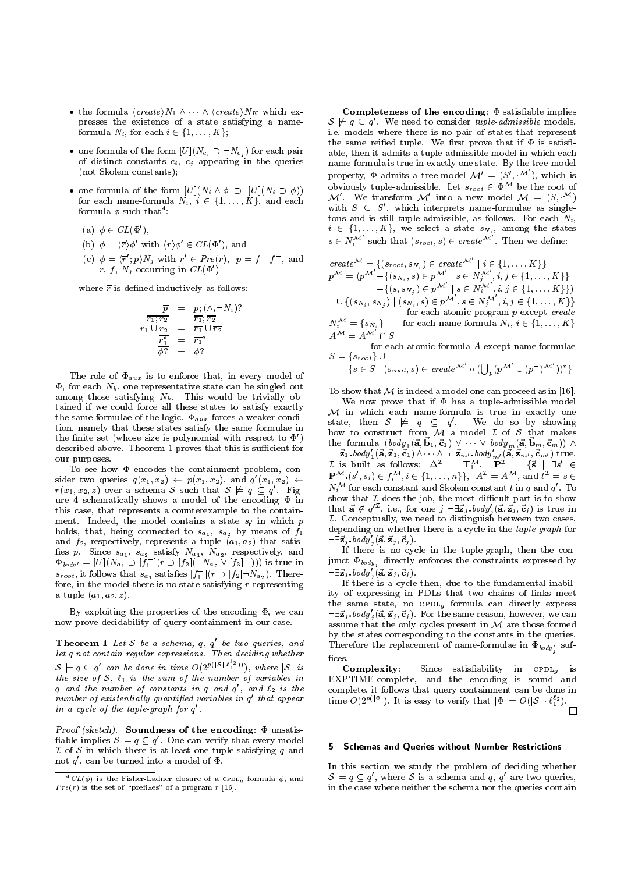- the formula  $\langle create \rangle N_1 \wedge \cdots \wedge \langle create \rangle N_K$  which ex-<br>presses the existence of a state satisfying a nameformula  $N_i$ , for each  $i \in \{1, \ldots, K\}$ ;
- one formula of the form  $[U](N_{c_i} \supset \neg N_{c_j})$  for each pair of distinct constants constants constants constants constants constants constants constants  $\mathbf{r}$ (not Skolem constants);
- one formula of the form  $[U](N_i \wedge \phi \supset [U](N_i \supset \phi))$ for each name-formula Ni , <sup>i</sup> 2 f1;:::;Kg, and each formula  $\varphi$  such that :
	- (a)  $\varphi \in CL(\Psi)$ ,
	- (b)  $\phi = \langle \overline{r} \rangle \phi'$  with  $\langle r \rangle \phi' \in CL(\Phi')$ , and
	- (c)  $\varphi = \langle r ; p \rangle N_j$  with  $r \in Pre(r), p = j | J$ , and  $r, t, N_i$  occurring in  $CL(\Psi)$

where  $\overline{r}$  is defined inductively as follows:

$$
\frac{\overline{p}}{r_1; r_2} = p_i (\wedge_i - N_i)?
$$
  
\n
$$
\frac{\overline{r_1}; r_2}{r_1 \cup r_2} = \frac{\overline{r_1}; \overline{r_2}}{\overline{r_1} \cup \overline{r_2}}
$$
  
\n
$$
\frac{\overline{r_1}}{\phi ?} = \phi ?
$$

The role of aux is to enforce that, in every model of  $\Phi$ , for each  $N_k$ , one representative state can be singled out among those satisfying  $N_k$ . This would be trivially obtained if we could force all these states to satisfy exactly<br>  $\mathcal{M}$  in which each name-formula is true in exactly one the same formulae of the logic.  $\Phi_{aux}$  forces a weaker condition, namely that these states satisfy the same formulae in the finite set (whose size is polynomial with respect to  $\Phi'$ ) described above. Theorem 1 proves that this is sufficient for our purposes.

To see how  $\Phi$  encodes the containment problem, consider two queries  $q(x_1, x_2) \leftarrow p(x_1, x_2)$ , and  $q'(x_1, x_2) \leftarrow$  $(x_1, x_2) \leftarrow \frac{1}{\sqrt{2}} (x_1, x_2)$  $r(x_1, x_2, z)$  over a schema S such that  $S \not\models q \subseteq q$ . Figure 4 schematically shows a model of the encoding  $\Phi$  in this case, that represents a counterexample to the contain ment. Indeed, the model contains a state  $s_{\vec{t}}$  in which p holds, that, being connected to  $s_{a_1}$ ,  $s_{a_2}$  by means of  $f_1$ and  $f_2$ , respectively, represents a tuple  $(a_1, a_2)$  that satis- $\Phi_{body} = [U](N_{a_1} \supset [f_1](r \supset [f_2](-N_{a_2} \vee [f_3] \perp)))$  is true in jun $s_{root}$ , it follows that  $s_{a_1}$  satisfies  $|J_1|$   $|r \supseteq |J_2| \supseteq N_{a_2}$  ). Therefore, in the model there is no state satisfying  $r$  representing a tuple  $(a_1, a_2, z)$ .

By exploiting the properties of the encoding  $\Phi$ , we can now prove decidability of query containment in our case.

**Theorem 1** Let  $S$  be a schema,  $q$ ,  $q$  be two queries, and Theorem 1 let q not contain regular expressions. Then deciding whether  $\begin{array}{ccc} \n\text{the} & \text{size of } S, \ell_1 \text{ is the}\\ \n\text{q} & \text{and the number of}\\ \n\text{number of existential} \n\end{array}$ ' can be done in time  $O(2^{p(|S|\cdot \ell_1^{-2}))})$ , where  $|S|$  is  $t \rightarrow$  size of  $t$  is the sum of variables in the sum of variables in the number of variables in the number of variables in the sum of  $t$  $q$  and the number of constants in  $q$  and  $q$  , and  $\ell_2$  is the co number of existentially quantified variables in  $q$  that appear  $\qquad$  + in a cycle of the tuple-graph for q.

Proof (sketch). Soundness of the encoding:  $\Phi$  unsatis- $\mathcal I$  of  $\mathcal S$  in which there is at least on<br>not  $q'$ , can be turned into a model of <sup>0</sup> . One can verify that every model I of S in which there is at least one tuple satisfying  $\mathbf{r}$  and  $\mathbf{r}$  on  $\mathbf{r}$ not  $q$  , can be turned into a model of  $\Psi.$ 

Completeness of the encoding:  $\Phi$  satisfiable implies  $\texttt{S}\ \not\models\ q\subseteq q$  . We need to consider *tuple-aamissible* models, i.e. models where there is no pair of states that represent the same reified tuple. We first prove that if  $\Phi$  is satisfiable, then it admits a tuple-admissible model in which each name-formula is true in exactly one state. By the tree-model property,  $\Phi$  admits a tree-model  $\mathcal{M}' = (S', \cdot^{\mathcal{M}'}),$  which is obviously tuple-admissible. Let  $s_{root} \in \Psi^{++}$  be the root of M'. We transform M' into a new model  $\mathcal{M} = (S, \mathcal{M})$ with  $S \subseteq S$ , which interprets name-formulae as singletons and is still tuple-admissible, as follows. For each  $N_i$ , i 2 fi;:::,kg, we select a state sNi, we see the state states  $s \in N_i^{\mathcal{M}}$  such that  $(s_{root}, s) \in create^{\mathcal{M}}$  . Then we define:

 $\begin{aligned} \textit{create}^{\mathcal{M}} &= \{(s_{root}, s_{N_i}) \in \textit{create}^{\mathcal{M}} \mid i \in \{1, \ldots, K\}\} \ p^{\mathcal{M}} &= (p^{\mathcal{M}'} - \{(s_{N_i}, s) \in p^{\mathcal{M}'} \mid s \in N_j^{\mathcal{M}'}, i, j \in \{1, \ldots, K\}\} \ - \{(s, s_{N_j}) \in p^{\mathcal{M}'} \mid s \in N_i^{\mathcal{M}'}, i, j \in \{1, \ldots, K\}\} \end{aligned}$  $p^{\mathcal{M}} = (p^{\mathcal{M}} - \{(s_{N_i}, s) \in p^{\mathcal{M}} \mid s \in N_j^{\mathcal{M}} \text{ , } i,j \in \{1,\dots,K\}\} \ - \{(s,s_{N_j}) \in p^{\mathcal{M}'} \mid s \in N_i^{\mathcal{M}'} \text{ , } i,j \in \{1,\dots,K\}\}) \ \cup \{(s_{N_i},s_{N_j}) \mid (s_{N_i},s) \in p^{\mathcal{M}'} \text{ , } s \in N_j^{\mathcal{M}'} \text{ , } i,j \in \{1,\dots,K\}\}$  $\left\{ \begin{array}{l} -\{(s,s_{N_j}) \in p^{\mathcal{M}} \mid s \in N_i^{\mathcal{M}} \text{ , } i,j \in \{1,\ldots,K\}\} \[1mm] (s_{N_i},s) \in p^{\mathcal{M}'} \text{ , } s \in N_j^{\mathcal{M}'} \text{ , } i,j \in \{1,\ldots,K\}\} \[1mm] \text{for each atomic program } p \text{ except } create \end{array} \right.$  $N_i^{\mathcal{M}} = \{s_{N_i}\}\$  for  $A^{\mathcal{M}} = A^{\mathcal{M}'} \cap S$  ${,s_{N_j}) \mid (s_{N_i},s) \in p^{\mathcal{M}} \text{, } s \in N_j^{\mathcal{M}} \text{, } i,j \in \{1,\ldots,K\} \} \ \text{for each atomic program } p \text{ except create} \ \{N_i\} \ \text{for each name-formula } N_i, i \in \{1,\ldots,K\}$ for each atomic program  $p$  except create

 $= A^{\mathcal{M}'} \cap S$ <br>for each atomic formula A except name formulae

for each atomic formula  $A$  except name formulae

$$
\{s \in S \mid (s_{root}, s) \in create^{\mathcal{M}'} \circ (\bigcup_{p} (p^{\mathcal{M}'} \cup (p^{-})^{\mathcal{M}'}))^*\}
$$
  
To show that  $\mathcal{M}$  is indeed a model one can proceed as in [16].

We now prove that if  $\Phi$  has a tuple-admissible model state, then  $S \not\models q \subseteq q'$ . We do so by showing how to construct from  $\overline{\mathcal{M}}$  a model  $\mathcal I$  of  $\mathcal S$  that makes the formula  $(\text{body}_1(\vec{a}, \vec{b}_1, \vec{c}_1) \vee \cdots \vee \text{body}_m(\vec{a}, \vec{b}_m, \vec{c}_m)) \wedge$ <br>  $\neg \exists \vec{z}_1.\text{body}_1'(\vec{a}, \vec{z}_1, \vec{c}_1) \wedge \cdots \wedge \neg \exists \vec{z}_{m'}.\text{body}_m'(\vec{a}, \vec{z}_{m'}, \vec{c}_{m'}) \text{ true.}$ <br>  $\mathcal{I} \text{ is built as follows: } \Delta^{\mathcal{I}} = \top_1^{\mathcal{M}}, \quad \mathbf{P}^{\mathcal{I$  $\mathcal{I} \text{ is built as follows: } \Delta^{\mathcal{I}} = \top_1^{\mathcal{M}}, \quad \mathbf{P}^{\mathcal{I}} = \{\vec{s} \mid \exists s' \in \mathbf{P}^{\mathcal{M}}, (s', s_i) \in f_i^{\mathcal{M}}, i \in \{1, \ldots, n\}\}, \quad A^{\mathcal{I}} = A^{\mathcal{M}}, \text{ and } t^{\mathcal{I}} = s \in \mathbf{P}^{\mathcal{M}}, (s', s_i) \in f_i^{\mathcal{M}}, i \in \{1, \ldots, n\}\},$ L is built as follows:  $\Delta^2 = \Pi^2$ ,  $\mathbf{P}^2 = \mathbf{S} \mid \exists s \in \mathbf{P}^M$ ,  $(s', s_i) \in f_i^M$ ,  $i \in \{1, ..., n\}$ ,  $A^T = A^M$ , and  $t^T = s \in \mathbb{N}^M$  for so the contant and Skelom sention t in g and  $s'$ . To  $i, i \in \{1, \ldots, n\}$ ,  $A = A^{\dagger}$ , and  $t = s \in$ <br>tant and Skolem constant t in q and  $q'$ . To<br>the job, the most difficult part is to show  $N_t$  for each constant and Skolem constant t in q and q. To show that  $\mathcal I$  does the job, the most difficult part is to show that  $\vec{a} \notin q^{t\mathcal{I}}$ , i.e., for one  $j \neg \exists \vec{z}_j, body'_j(\vec{a}, \vec{z}_j, \vec{c}_j)$  is true in  $\mathcal I.$  Conceptually, we need to distinguish between two cases, depending on whether there is a cycle in the tuple-graph for  $\neg \exists \vec{z}_i \cdot body'_i({\vec{a}, \vec{z}_i, \vec{c}_i}).$ 

If there is no cycle in the tuple-graph, then the conjunct  $\Psi_{body_{j}}$  directly emorces the constraints expressed by  $\neg \exists \vec{z}_i \cdot body'_i({\vec{a}, \vec{z}_i, \vec{c}_i}).$ 

If there is a cycle then, due to the fundamental inability of expressing in PDLs that two chains of links meet the same state, no computation of  $\mathbf{u}$  for  $\mathbf{u}$  and  $\mathbf{v}$  expression of  $\mathbf{u}$  and  $\mathbf{v}$  express state  $\mathbf{v}$  $\neg \exists \vec{z}_i.\textit{body}'_i({\vec{a}}, {\vec{z}_i}, {\vec{c}_j})$ . For the same reason, however, we can assume that the only cycles present in  $\mathbf{r}$ by the states corresponding to the constants in the queries. Therefore the replacement of name-formulae in  $\Psi_{body_i'}$  suffices.

Fig. in EXPTIME-complete, and the encoding is sound and<br>is the complete, it follows that query containment can be done in<br>prear time  $O(2^{p(|\Phi|)})$ . It is easy to verify that  $|\Phi| = O(|S| \cdot \ell_1^{\ell_2})$ . Complexity: Since satisability in cpdlg is EXPTIME-complete, and the encoding is sound and

#### 5 5 Schemas and Queries without Number Restrictions

In this section we study the problem of deciding whether  $\frac{1}{2}$  in the case where neither , where  $S$  is a schema and  $q, q$  are two queries, in the case where neither the schema nor the queries contain

 $\mathcal{L}(C L(\phi))$  is the Fisher-Ladner closure of a CPDL<sub>a</sub> formula  $\phi$ , and  $Pre(r)$  is the set of "prefixes" of a program  $r$  [16].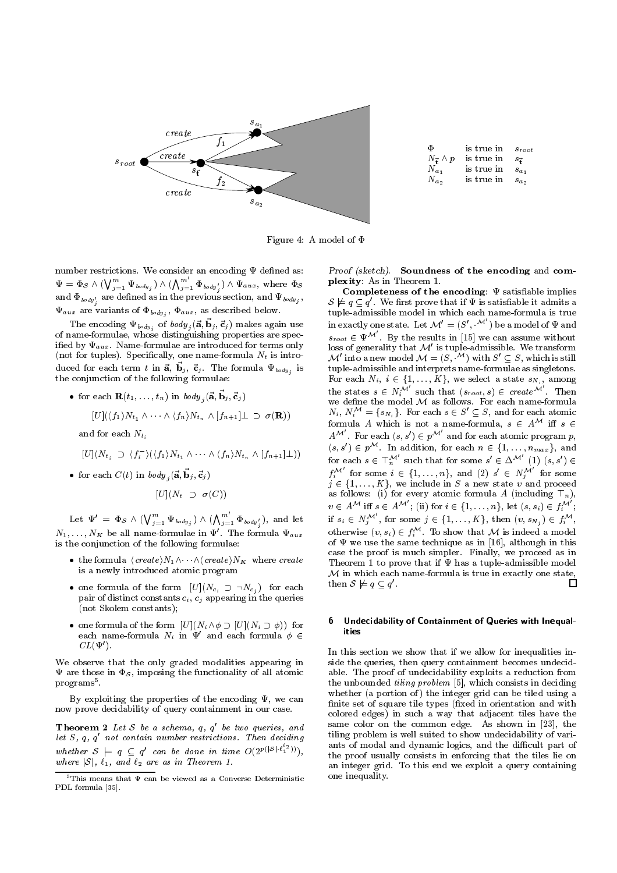

| Ф                      | is true in $s_{root}$    |           |
|------------------------|--------------------------|-----------|
| $N_{\vec{r}} \wedge p$ | is true in $s_{\vec{r}}$ |           |
| $N_{a_1}$              | is true in               | $s_{a_1}$ |
| $N_{a_2}$              | is true in               | $s_a$     |
|                        |                          |           |

Figure 4: A model of  $\Phi$ 

number restrictions. We consider an encoding  $\Psi$  defined as:  $\Psi=\Phi_{\mathcal{S}} \wedge (\bigvee_{j=1}^m \Psi_{\textit{body}_j} ) \wedge (\bigwedge_{j=1}^m \Phi_{\textit{body}_j'}) \wedge \Psi_{\textit{aux}}, \text{ where } \Phi_{\mathcal{S}} \qquad \quad \textbf{P1}$ and  $\Psi_{\textit{body}'_j}$  are defined as in the previous section, and  $\Psi_{\textit{body}_j}$  ,  $\Psi_{aux}$  are variants of  $\Psi_{body}$ ,  $\Psi_{aux}$ , as described below.

The encoding  $\mathbf{v}_{body}$ , or  $\omega a y_j({\bf a}, {\bf b}_j, {\bf c}_j)$  makes again use The of name-formulae, whose distinguishing properties are specified by  $\Psi_{aux}$ . Name-formulae are introduced for terms only (not for tuples). Specifically, one name-formula  $N_t$  is introduced for each term t in  $a, b_j, c_j$ . The formula  $\Psi_{body}$  is the formula the conjunction of the following formulae:

\n- for each 
$$
\mathbf{R}(t_1, \ldots, t_n)
$$
 in  $body_j(\vec{\mathbf{a}}, \vec{\mathbf{b}}_j, \vec{\mathbf{c}}_j)$   $[U](\langle f_1 \rangle N_{t_1} \wedge \cdots \wedge \langle f_n \rangle N_{t_n} \wedge [f_{n+1}] \perp \supset \sigma(\mathbf{R}))$  and for each  $N_{t_i}$
\n

$$
[U](N_{t_i} \supset \langle f_i \rangle)(\langle f_1 \rangle N_{t_1} \wedge \cdots \wedge \langle f_n \rangle N_{t_n} \wedge [f_{n+1}]\bot)
$$

• for each  $C(t)$  in  $body_j({\bf \vec{a}}, {\bf \vec{b}}_j, {\bf \vec{c}}_j)$ 

$$
[U](N_t \supset \sigma(C))
$$

Let  $\Psi' = \Phi_{\mathcal{S}} \wedge (\bigvee_{j=1}^m \Psi_{\textit{body}_j}) \wedge (\bigwedge_{j=1}^m \Phi_{\textit{body}'_j}),$  and let i  $N_1,\ldots,N_K$  be all name-formulae in  $\Psi'$ . The formula  $\Psi_{aux}$ is the conjunction of the following formulae:

- the formula  $\langle create \rangle N_1 \land \cdots \land \langle create \rangle N_K$  where create<br>is a newly introduced atomic program<br>• one formula of the form  $[U](N_{c_i} \supset \neg N_{c_j})$  for each is a newly introduced atomic program
- pair of distinct constants  $c_i$ ,  $c_j$  appearing in the queries<br>(not Skolem constants); pair of distinct constants ci , cj appearing in the queries (not Skolem constants);
- each name-formula  $N_i$  in  $\Psi'$  and each formula  $\phi \in$ 200 million control and the control of  $CL(\Psi')$ .

We observe that the only graded modalities appearing in  $\Psi$  are those in  $\Phi_{\mathcal{S}}$ , imposing the functionality of all atomic programs<sup>5</sup>.

By exploiting the properties of the encoding  $\Psi$ , we can now prove decidability of query containment in our case.

**Theorem 2** Let S be a schema,  $q$ ,  $q$  be two queries, and  $\frac{1}{111}$ let 5, q, q not contain number restrictions. Then deciding the set whether  $S \models q \subseteq q'$  can be done in time  $O(2^{p(|S| \cdot \ell_1^{-2}))}),$ where  $|S|$ ,  $\ell_1$ , and  $\ell_2$  are as in Theorem 1.<br>5This means that  $\Psi$  can be viewed as a Converse Deterministic

Proof (sketch). Soundness of the encoding and com plexity: As in Theorem 1.

Completeness of the encoding:  $\Psi$  satisfiable implies tuple-admissible model in which each name-formula is true<br>in exactly one state. Let  $\mathcal{M}' = (S', \mathcal{M}')$  be a model of  $\Psi$  and . We first prove that if  $\Psi$  is satisfiable it admits a tuple-admissible model in which each name-formula is true  $s_{root} \in \Psi^{\mathcal{M}}$  . By the results in [15] we can assume without loss of generality that  $\mathcal{M}'$  is tuple-admissible. We transform M' into a new model  $M = (S, \mathcal{M})$  with  $S' \subseteq S$ , which is still<br>tuple-admissible and interprets name-formulae as singletons. tuple-admissible and interprets name-formulae as singletons. the states  $s \in N_i^{\mathcal{M}'}$  such that  $(s_{root}, s) \in create^{\mathcal{M}'}$ . Then<br>we define the model  $M$  as follows. For each name-formula the states  $s \in N_i^{\mathcal{M}}$  such that  $(s_{root}, s) \in \textit{create}^{\mathcal{M}}$  . Then  $N_i, N_i^{\mathcal{M}} = \{s_{N_i}\}.$  For each  $s \in S' \subseteq S$ , and for each atomic formula A which is not a name-formula,  $s \in A^{\cdots}$  iff  $s \in$  $A^{\mathcal{M}}$  . For each  $(s, s') \in p^{\mathcal{M}}$  and for each atomic program  $p$ ,  $(s, s) \in p^{\cdots}$ . In addition, for each  $n \in \{1, \ldots, n_{max}\}$ , and<br>for each  $s \in \top_n^{\mathcal{M}'}$  such that for some  $s' \in \Delta^{\mathcal{M}'}$   $(1)$   $(s, s') \in$ <br> $f_i^{\mathcal{M}'}$  for some  $i \in \{1, \ldots, n\}$ , and  $(2)$   $s' \in N_j^{\mathcal{M}'}$  for some for each  $s \in \mathbb{T}_n^M$  such that for some  $s' \in \Delta^M$ <br>  $f_i^M'$  for some  $i \in \{1, ..., n\}$ , and (2)  $s' \in N$ <br>  $j \in \{1, ..., K\}$ , we include in S a new state v  $\alpha' \in \Delta^{\mathcal{M}} \quad (1) \; (s, s') \in \Delta^{\mathcal{M}}$  $f_i^{\mathcal{M}}$  for some  $i \in \{1,\ldots,n\}$ , and  $(2)$   $s' \in N_j^{\mathcal{M}}$  for some as follows: (i) for every atomic formula A (including  $\top_n$ ),<br> $v \in A^{\mathcal{M}}$  iff  $s \in A^{\mathcal{M}'}$ ; (ii) for  $i \in \{1, \ldots, n\}$ , let  $(s, s_i) \in f_i^{\mathcal{M}'}$ ; as follows: (i) for every atomic formula  $\sim$  (including  $\sim$ n),  $v \in A^{\mathcal{M}}$  iff  $s \in A^{\mathcal{M}}$ ; (ii) for  $i \in \{1,\ldots,n\}$ , let  $(s, s_i) \in f_i^{\mathcal{M}}$ ;<br>if  $s_i \in N_j^{\mathcal{M}'}$ , for some  $j \in \{1,\ldots,K\}$ , then  $(v, s_{N_j}) \in f_i^{\mathcal{M}}$ ,<br>otherwise  $(v, s_i) \in f_i^{\mathcal{M}}$ . To show that  $\mathcal M$  is indeed a mode if  $s_i \in N_j^{\mathcal{M}}$ , for some  $j \in \{1, ..., K\}$ , then  $(v, s_{N_j}) \in f_i^{\mathcal{M}}$ ,<br>otherwise  $(v, s_i) \in f_i^{\mathcal{M}}$ . To show that  $\mathcal M$  is indeed a model<br>of  $\Psi$  we use the same technique as in [16], although in this otherwise  $(v, s_i) \in f_i$ . To show that M is indeed a model of  $\Psi$  we use the same technique as in [16], although in this case the proof is much simpler. Finally, we proceed as in Theorem 1 to prove that if  $\Psi$  has a tuple-admissible model M in which each name-formula is true in exactly one state,<br>then  $S \not\models a \subseteq a'$ .  $\frac{1}{\sqrt{1-x}}$ <sup>0</sup> .

## 6 Undecidability of Containment of Queries with Inequalities

In this section we show that if we allow for inequalities inside the queries, then query containment becomes undecidable. The proof of undecidability exploits a reduction from the unbounded *tiling problem* [5], which consists in deciding whether (a portion of) the integer grid can be tiled using a finite set of square tile types (fixed in orientation and with colored edges) in such a way that adjacent tiles have the same color on the common edge. As shown in [23], the tiling problem is well suited to show undecidability of vari ants of modal and dynamic logics, and the difficult part of the proof usually consists in enforcing that the tiles lie on an integer grid. To this end we exploit a query containing one inequality.

PDL formula [35].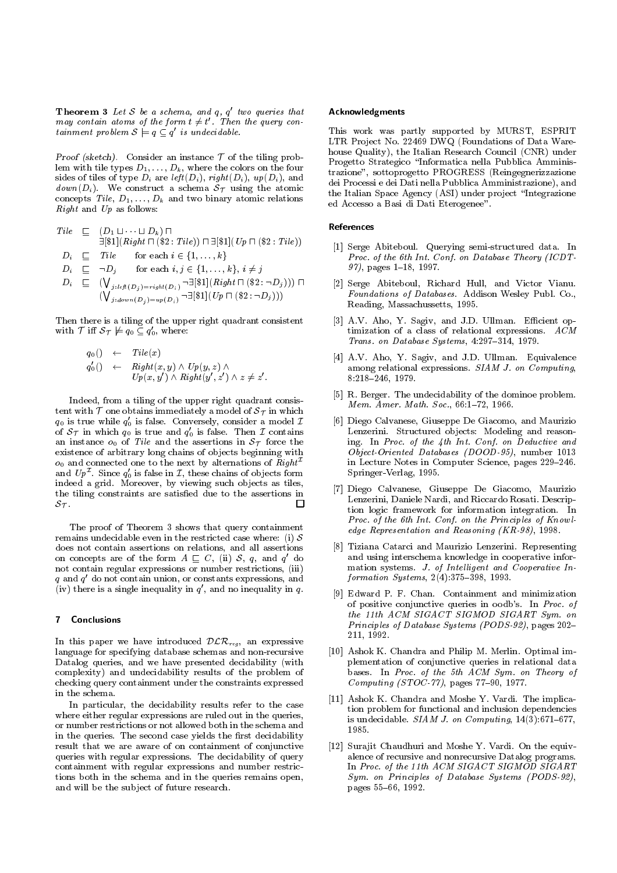**Theorem 3** Let  $S$  be a schema, and  $q$ ,  $q$  two queries that may contain atoms of the form  $t \neq t$  . Then the query con-<br>tainment problem  $\mathcal{S} \models q \subseteq q'$  is undecidable.

Proof (sketch). Consider an instance  $T$  of the tiling problem with tile types  $D_1, \ldots, D_k$ , where the colors on the four sides of tiles of type  $D_i$  are left  $(D_i)$ , right  $(D_i)$ ,  $up(D_i)$ , and  $down(D_i)$ . We construct a schema  $S_{\mathcal{T}}$  using the atomic concepts Tile,  $D_1$ ,...,  $D_k$  and two binary atomic relations the  $Right$  and  $Up$  as follows:

$$
Tile \quad \sqsubseteq \quad (D_1 \sqcup \cdots \sqcup D_k) \sqcap
$$
\n
$$
\exists [\$1](Right \sqcap (\$2: File)) \sqcap \exists [\$1](Up \sqcap (\$2: File))
$$
\n
$$
D_i \quad \sqsubseteq \quad File \quad \text{for each } i \in \{1, \ldots, k\}
$$
\n
$$
D_i \quad \sqsubseteq \neg D_j \quad \text{for each } i, j \in \{1, \ldots, k\}, i \neq j
$$
\n
$$
D_i \quad \sqsubseteq \quad (\bigvee_{j: left(D_j) = right(D_i)} \neg \exists [\$1](Right \sqcap (\$2: \neg D_j))) \sqcap
$$
\n
$$
(\bigvee_{j: down(D_j) = up(D_i)} \neg \exists [\$1](Up \sqcap (\$2: \neg D_j)))
$$
\n
$$
\sqcap
$$

Then there is a tiling of the upper right quadrant consistent with  $\ell$  iff  $s_{\mathcal{T}} \not\models q_0 \subseteq q_0$ , where:

$$
q_0() \leftarrow \text{File}(x) q'_0() \leftarrow \text{Right}(x, y) \land \text{Up}(y, z) \land \text{Up}(x, y') \land \text{Right}(y', z') \land z \neq z'.
$$

Indeed, from a tiling of the upper right quadrant consistent with T one obtains immediately a model of  $\mathcal{S}$  in which which we obtain  $q_0$  is true while  $q_0$  is false. Conversely, consider a model  $L$ of  $\sigma_{\mathcal{T}}$  in which  $q_0$  is true and  $q_0$  is false. Then  $\mathcal{I}$  contains  $\overline{a}$  instance on  $\overline{a}$  force the assertions in  $\overline{a}$ existence of arbitrary long chains of objects beginning with  $o_0$  and connected one to the next by alternations of  $Right^{\mathcal{I}}$ and  $\ell p^{-}$ . Since  $q_{0}$  is false in  $L$ , these chains of objects form spr indeed a grid. Moreover, by viewing such objects as tiles, the tiling constraints are satisfied due to the assertions in  $\Box$  $S_{\mathcal{T}}$ .<br>The proof of Theorem 3 shows that query containment

remains undecidable even in the restricted case where: (i)  $S$ does not contain assertions on relations, and all assertions on concepts are of the form  $A \sqsubseteq C$ , (ii)  $S$ , q, and q do not contain regular expressions or number restrictions, (iii)  $q$  and  $q$  do not contain union, or constants expressions, and (iv) there is a single inequality in  $q$  , and no inequality in  $q$ .

#### $\mathbf{7}$ **Conclusions**

In this paper we have introduced  $D\mathcal{L}N_{reg}$ , an expressive language for specifying database schemas and non-recursive Datalog queries, and we have presented decidability (with complexity) and undecidability results of the problem of checking query containment under the constraints expressed in the schema.

In particular, the decidability results refer to the case where either regular expressions are ruled out in the queries, or number restrictions or not allowed both in the schema and in the queries. The second case yields the first decidability result that we are aware of on containment of conjunctive queries with regular expressions. The decidability of query containment with regular expressions and number restrictions both in the schema and in the queries remains open, and will be the subject of future research.

## Acknowledgments

This work was partly supported by MURST, ESPRIT LTR Project No. 22469 DWQ (Foundations of Data Warehouse Quality), the Italian Research Council (CNR) under Progetto Strategico \Informatica nella Pubblica Amministrazione", sottoprogetto PROGRESS (Reingegnerizzazione dei Processi e dei Dati nella Pubblica Amministrazione), and the Italian Space Agency (ASI) under project "Integrazione ed Accesso a Basi di Dati Eterogenee".

## References

- [1] Serge Abiteboul. Querying semi-structured data. In Proc. of the 6th Int. Conf. on Database Theory (ICDT-97), pages 1-18, 1997.
- [2] Serge Abiteboul, Richard Hull, and Victor Vianu. Foundations of Databases. Addison Wesley Publ. Co., Reading, Massachussetts, 1995.
- [3] A.V. Aho, Y. Sagiv, and J.D. Ullman. Efficient optimization of a class of relational expressions. ACM Trans. on Database Systems,  $4:297-314$ , 1979.
- [4] A.V. Aho, Y. Sagiv, and J.D. Ullman. Equivalence among relational expressions. SIAM J. on Computing, 8:218-246, 1979.
- [5] R. Berger. The undecidability of the dominoe problem. Mem. Amer. Math. Soc., 66:1-72, 1966.
- **In the contract of the second second** [6] Diego Calvanese, Giuseppe De Giacomo, and Maurizio Lenzerini. Structured objects: Modeling and reasoning. In Proc. of the 4th Int. Conf. on Deductive and Object-Oriented Databases (DOOD-95), number 1013 in Lecture Notes in Computer Science, pages 229-246. Springer-Verlag, 1995.
	- [7] Diego Calvanese, Giuseppe De Giacomo, Maurizio Lenzerini, Daniele Nardi, and Riccardo Rosati. Description logic framework for information integration. In Proc. of the 6th Int. Conf. on the Principles of Knowledge Representation and Reasoning (KR-98), 1998.
- <sup>1</sup><sub>18</sub> [8] Tiziana Catarci and Maurizio Lenzerini. Representing and using interschema knowledge in cooperative information systems. J. of Intelligent and Cooperative Information Systems,  $2(4):375{-}398, 1993$ .
	- [9] Edward P. F. Chan. Containment and minimization of positive conjunctive queries in oodb's. In Proc. of the 11th ACM SIGACT SIGMOD SIGART Sym. on Principles of Database Systems (PODS-92), pages 202-211, 1992.
	- [10] Ashok K. Chandra and Philip M. Merlin. Optimal implementation of conjunctive queries in relational data bases. In Proc. of the 5th ACM Sym. on Theory of Computing (STOC-77), pages 77-90, 1977.
	- [11] Ashok K. Chandra and Moshe Y. Vardi. The implication problem for functional and inclusion dependencies is undecidable.  $SIAM$  J. on Computing,  $14(3):671-677$ ,
	- [12] Surajit Chaudhuri and Moshe Y. Vardi. On the equivalence of recursive and nonrecursive Datalog programs. In Proc. of the 11th ACM SIGACT SIGMOD SIGART Sym. on Principles of Database Systems (PODS-92), pages 55-66, 1992.